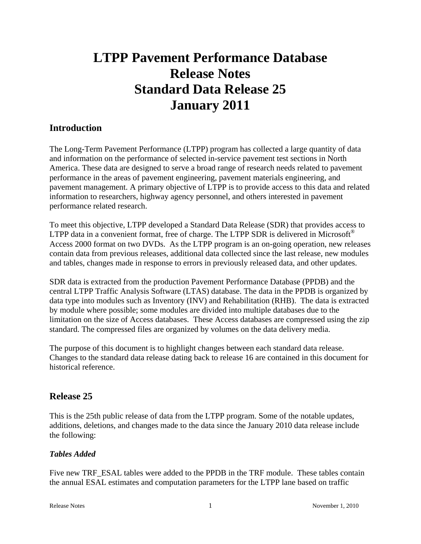# **LTPP Pavement Performance Database Release Notes Standard Data Release 25 January 2011**

# **Introduction**

The Long-Term Pavement Performance (LTPP) program has collected a large quantity of data and information on the performance of selected in-service pavement test sections in North America. These data are designed to serve a broad range of research needs related to pavement performance in the areas of pavement engineering, pavement materials engineering, and pavement management. A primary objective of LTPP is to provide access to this data and related information to researchers, highway agency personnel, and others interested in pavement performance related research.

To meet this objective, LTPP developed a Standard Data Release (SDR) that provides access to LTPP data in a convenient format, free of charge. The LTPP SDR is delivered in Microsoft<sup>®</sup> Access 2000 format on two DVDs. As the LTPP program is an on-going operation, new releases contain data from previous releases, additional data collected since the last release, new modules and tables, changes made in response to errors in previously released data, and other updates.

SDR data is extracted from the production Pavement Performance Database (PPDB) and the central LTPP Traffic Analysis Software (LTAS) database. The data in the PPDB is organized by data type into modules such as Inventory (INV) and Rehabilitation (RHB). The data is extracted by module where possible; some modules are divided into multiple databases due to the limitation on the size of Access databases. These Access databases are compressed using the zip standard. The compressed files are organized by volumes on the data delivery media.

The purpose of this document is to highlight changes between each standard data release. Changes to the standard data release dating back to release 16 are contained in this document for historical reference.

# **Release 25**

This is the 25th public release of data from the LTPP program. Some of the notable updates, additions, deletions, and changes made to the data since the January 2010 data release include the following:

# *Tables Added*

Five new TRF\_ESAL tables were added to the PPDB in the TRF module. These tables contain the annual ESAL estimates and computation parameters for the LTPP lane based on traffic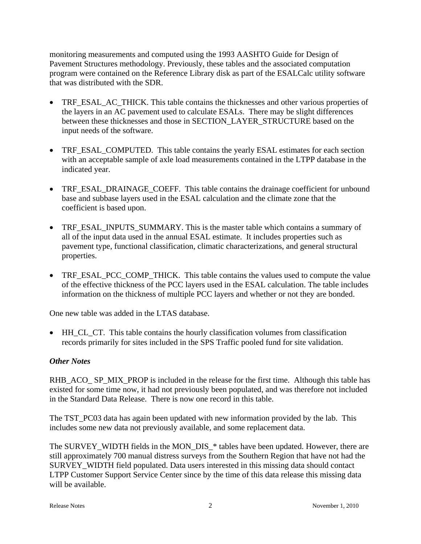monitoring measurements and computed using the 1993 AASHTO Guide for Design of Pavement Structures methodology. Previously, these tables and the associated computation program were contained on the Reference Library disk as part of the ESALCalc utility software that was distributed with the SDR.

- TRF\_ESAL\_AC\_THICK. This table contains the thicknesses and other various properties of the layers in an AC pavement used to calculate ESALs. There may be slight differences between these thicknesses and those in SECTION\_LAYER\_STRUCTURE based on the input needs of the software.
- TRF\_ESAL\_COMPUTED. This table contains the yearly ESAL estimates for each section with an acceptable sample of axle load measurements contained in the LTPP database in the indicated year.
- TRF\_ESAL\_DRAINAGE\_COEFF. This table contains the drainage coefficient for unbound base and subbase layers used in the ESAL calculation and the climate zone that the coefficient is based upon.
- TRF\_ESAL\_INPUTS\_SUMMARY. This is the master table which contains a summary of all of the input data used in the annual ESAL estimate. It includes properties such as pavement type, functional classification, climatic characterizations, and general structural properties.
- TRF\_ESAL\_PCC\_COMP\_THICK. This table contains the values used to compute the value of the effective thickness of the PCC layers used in the ESAL calculation. The table includes information on the thickness of multiple PCC layers and whether or not they are bonded.

One new table was added in the LTAS database.

• HH CL CT. This table contains the hourly classification volumes from classification records primarily for sites included in the SPS Traffic pooled fund for site validation.

# *Other Notes*

RHB\_ACO\_ SP\_MIX\_PROP is included in the release for the first time. Although this table has existed for some time now, it had not previously been populated, and was therefore not included in the Standard Data Release. There is now one record in this table.

The TST\_PC03 data has again been updated with new information provided by the lab. This includes some new data not previously available, and some replacement data.

The SURVEY\_WIDTH fields in the MON\_DIS\_\* tables have been updated. However, there are still approximately 700 manual distress surveys from the Southern Region that have not had the SURVEY\_WIDTH field populated. Data users interested in this missing data should contact LTPP Customer Support Service Center since by the time of this data release this missing data will be available.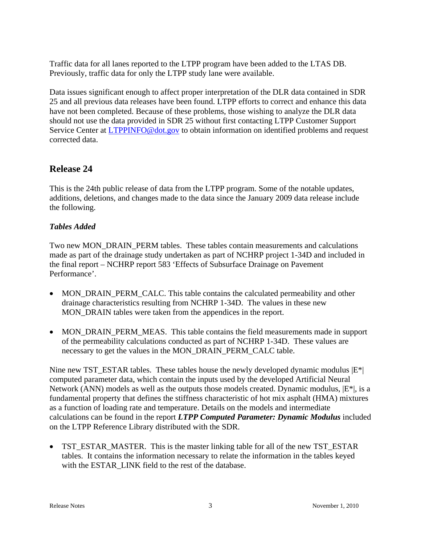Traffic data for all lanes reported to the LTPP program have been added to the LTAS DB. Previously, traffic data for only the LTPP study lane were available.

Data issues significant enough to affect proper interpretation of the DLR data contained in SDR 25 and all previous data releases have been found. LTPP efforts to correct and enhance this data have not been completed. Because of these problems, those wishing to analyze the DLR data should not use the data provided in SDR 25 without first contacting LTPP Customer Support Service Center at LTPPINFO@dot.gov to obtain information on identified problems and request corrected data.

# **Release 24**

This is the 24th public release of data from the LTPP program. Some of the notable updates, additions, deletions, and changes made to the data since the January 2009 data release include the following.

# *Tables Added*

Two new MON\_DRAIN\_PERM tables. These tables contain measurements and calculations made as part of the drainage study undertaken as part of NCHRP project 1-34D and included in the final report – NCHRP report 583 'Effects of Subsurface Drainage on Pavement Performance'.

- MON\_DRAIN\_PERM\_CALC. This table contains the calculated permeability and other drainage characteristics resulting from NCHRP 1-34D. The values in these new MON\_DRAIN tables were taken from the appendices in the report.
- MON\_DRAIN\_PERM\_MEAS. This table contains the field measurements made in support of the permeability calculations conducted as part of NCHRP 1-34D. These values are necessary to get the values in the MON\_DRAIN\_PERM\_CALC table.

Nine new TST\_ESTAR tables. These tables house the newly developed dynamic modulus  $|E^*|$ computed parameter data, which contain the inputs used by the developed Artificial Neural Network (ANN) models as well as the outputs those models created. Dynamic modulus,  $|E^*|$ , is a fundamental property that defines the stiffness characteristic of hot mix asphalt (HMA) mixtures as a function of loading rate and temperature. Details on the models and intermediate calculations can be found in the report *LTPP Computed Parameter: Dynamic Modulus* included on the LTPP Reference Library distributed with the SDR.

 TST\_ESTAR\_MASTER. This is the master linking table for all of the new TST\_ESTAR tables. It contains the information necessary to relate the information in the tables keyed with the ESTAR\_LINK field to the rest of the database.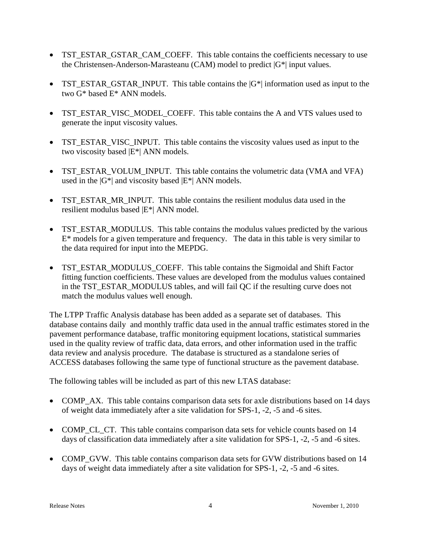- TST\_ESTAR\_GSTAR\_CAM\_COEFF. This table contains the coefficients necessary to use the Christensen-Anderson-Marasteanu (CAM) model to predict  $|G^*|$  input values.
- TST\_ESTAR\_GSTAR\_INPUT. This table contains the  $|G^*|$  information used as input to the two G\* based E\* ANN models.
- TST\_ESTAR\_VISC\_MODEL\_COEFF. This table contains the A and VTS values used to generate the input viscosity values.
- TST ESTAR VISC INPUT. This table contains the viscosity values used as input to the two viscosity based |E\*| ANN models.
- TST\_ESTAR\_VOLUM\_INPUT. This table contains the volumetric data (VMA and VFA) used in the  $|G^*|$  and viscosity based  $|E^*|$  ANN models.
- TST\_ESTAR\_MR\_INPUT. This table contains the resilient modulus data used in the resilient modulus based |E\*| ANN model.
- TST ESTAR MODULUS. This table contains the modulus values predicted by the various  $E^*$  models for a given temperature and frequency. The data in this table is very similar to the data required for input into the MEPDG.
- TST\_ESTAR\_MODULUS\_COEFF. This table contains the Sigmoidal and Shift Factor fitting function coefficients. These values are developed from the modulus values contained in the TST\_ESTAR\_MODULUS tables, and will fail QC if the resulting curve does not match the modulus values well enough.

The LTPP Traffic Analysis database has been added as a separate set of databases. This database contains daily and monthly traffic data used in the annual traffic estimates stored in the pavement performance database, traffic monitoring equipment locations, statistical summaries used in the quality review of traffic data, data errors, and other information used in the traffic data review and analysis procedure. The database is structured as a standalone series of ACCESS databases following the same type of functional structure as the pavement database.

The following tables will be included as part of this new LTAS database:

- COMP AX. This table contains comparison data sets for axle distributions based on 14 days of weight data immediately after a site validation for SPS-1, -2, -5 and -6 sites.
- COMP\_CL\_CT. This table contains comparison data sets for vehicle counts based on 14 days of classification data immediately after a site validation for SPS-1, -2, -5 and -6 sites.
- COMP GVW. This table contains comparison data sets for GVW distributions based on 14 days of weight data immediately after a site validation for SPS-1, -2, -5 and -6 sites.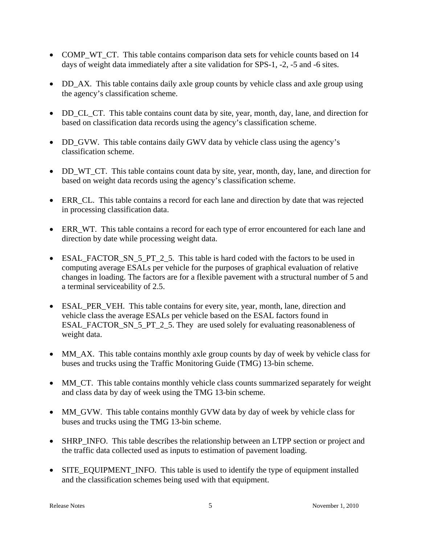- COMP WT CT. This table contains comparison data sets for vehicle counts based on 14 days of weight data immediately after a site validation for SPS-1, -2, -5 and -6 sites.
- DD AX. This table contains daily axle group counts by vehicle class and axle group using the agency's classification scheme.
- DD\_CL\_CT. This table contains count data by site, year, month, day, lane, and direction for based on classification data records using the agency's classification scheme.
- DD\_GVW. This table contains daily GWV data by vehicle class using the agency's classification scheme.
- DD WT CT. This table contains count data by site, year, month, day, lane, and direction for based on weight data records using the agency's classification scheme.
- ERR\_CL. This table contains a record for each lane and direction by date that was rejected in processing classification data.
- ERR WT. This table contains a record for each type of error encountered for each lane and direction by date while processing weight data.
- ESAL FACTOR SN  $5$  PT  $2\,$  5. This table is hard coded with the factors to be used in computing average ESALs per vehicle for the purposes of graphical evaluation of relative changes in loading. The factors are for a flexible pavement with a structural number of 5 and a terminal serviceability of 2.5.
- ESAL\_PER\_VEH. This table contains for every site, year, month, lane, direction and vehicle class the average ESALs per vehicle based on the ESAL factors found in ESAL\_FACTOR\_SN\_5\_PT\_2\_5. They are used solely for evaluating reasonableness of weight data.
- MM\_AX. This table contains monthly axle group counts by day of week by vehicle class for buses and trucks using the Traffic Monitoring Guide (TMG) 13-bin scheme.
- MM\_CT. This table contains monthly vehicle class counts summarized separately for weight and class data by day of week using the TMG 13-bin scheme.
- MM\_GVW. This table contains monthly GVW data by day of week by vehicle class for buses and trucks using the TMG 13-bin scheme.
- SHRP\_INFO. This table describes the relationship between an LTPP section or project and the traffic data collected used as inputs to estimation of pavement loading.
- SITE\_EQUIPMENT\_INFO. This table is used to identify the type of equipment installed and the classification schemes being used with that equipment.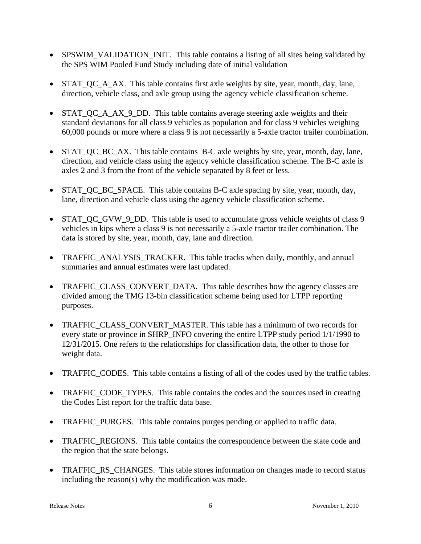- SPSWIM\_VALIDATION\_INIT. This table contains a listing of all sites being validated by the SPS WIM Pooled Fund Study including date of initial validation
- STAT QC A AX. This table contains first axle weights by site, year, month, day, lane, direction, vehicle class, and axle group using the agency vehicle classification scheme.
- STAT\_QC\_A\_AX\_9\_DD. This table contains average steering axle weights and their standard deviations for all class 9 vehicles as population and for class 9 vehicles weighing 60,000 pounds or more where a class 9 is not necessarily a 5-axle tractor trailer combination.
- STAT OC BC AX. This table contains B-C axle weights by site, year, month, day, lane, direction, and vehicle class using the agency vehicle classification scheme. The B-C axle is axles 2 and 3 from the front of the vehicle separated by 8 feet or less.
- STAT\_QC\_BC\_SPACE. This table contains B-C axle spacing by site, year, month, day, lane, direction and vehicle class using the agency vehicle classification scheme.
- STAT\_QC\_GVW\_9\_DD. This table is used to accumulate gross vehicle weights of class 9 vehicles in kips where a class 9 is not necessarily a 5-axle tractor trailer combination. The data is stored by site, year, month, day, lane and direction.
- TRAFFIC ANALYSIS TRACKER. This table tracks when daily, monthly, and annual summaries and annual estimates were last updated.
- TRAFFIC\_CLASS\_CONVERT\_DATA. This table describes how the agency classes are divided among the TMG 13-bin classification scheme being used for LTPP reporting purposes.
- TRAFFIC\_CLASS\_CONVERT\_MASTER. This table has a minimum of two records for every state or province in SHRP\_INFO covering the entire LTPP study period 1/1/1990 to 12/31/2015. One refers to the relationships for classification data, the other to those for weight data.
- TRAFFIC\_CODES. This table contains a listing of all of the codes used by the traffic tables.
- TRAFFIC\_CODE\_TYPES. This table contains the codes and the sources used in creating the Codes List report for the traffic data base.
- TRAFFIC\_PURGES. This table contains purges pending or applied to traffic data.
- TRAFFIC\_REGIONS. This table contains the correspondence between the state code and the region that the state belongs.
- TRAFFIC RS CHANGES. This table stores information on changes made to record status including the reason(s) why the modification was made.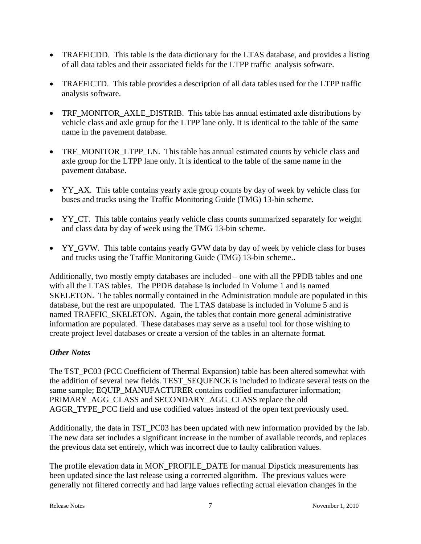- TRAFFICDD. This table is the data dictionary for the LTAS database, and provides a listing of all data tables and their associated fields for the LTPP traffic analysis software.
- TRAFFICTD. This table provides a description of all data tables used for the LTPP traffic analysis software.
- TRF\_MONITOR\_AXLE\_DISTRIB. This table has annual estimated axle distributions by vehicle class and axle group for the LTPP lane only. It is identical to the table of the same name in the pavement database.
- TRF\_MONITOR\_LTPP\_LN. This table has annual estimated counts by vehicle class and axle group for the LTPP lane only. It is identical to the table of the same name in the pavement database.
- YY AX. This table contains yearly axle group counts by day of week by vehicle class for buses and trucks using the Traffic Monitoring Guide (TMG) 13-bin scheme.
- YY\_CT. This table contains yearly vehicle class counts summarized separately for weight and class data by day of week using the TMG 13-bin scheme.
- YY GVW. This table contains yearly GVW data by day of week by vehicle class for buses and trucks using the Traffic Monitoring Guide (TMG) 13-bin scheme..

Additionally, two mostly empty databases are included – one with all the PPDB tables and one with all the LTAS tables. The PPDB database is included in Volume 1 and is named SKELETON. The tables normally contained in the Administration module are populated in this database, but the rest are unpopulated. The LTAS database is included in Volume 5 and is named TRAFFIC\_SKELETON. Again, the tables that contain more general administrative information are populated. These databases may serve as a useful tool for those wishing to create project level databases or create a version of the tables in an alternate format.

# *Other Notes*

The TST\_PC03 (PCC Coefficient of Thermal Expansion) table has been altered somewhat with the addition of several new fields. TEST\_SEQUENCE is included to indicate several tests on the same sample; EQUIP\_MANUFACTURER contains codified manufacturer information; PRIMARY\_AGG\_CLASS and SECONDARY\_AGG\_CLASS replace the old AGGR\_TYPE\_PCC field and use codified values instead of the open text previously used.

Additionally, the data in TST\_PC03 has been updated with new information provided by the lab. The new data set includes a significant increase in the number of available records, and replaces the previous data set entirely, which was incorrect due to faulty calibration values.

The profile elevation data in MON\_PROFILE\_DATE for manual Dipstick measurements has been updated since the last release using a corrected algorithm. The previous values were generally not filtered correctly and had large values reflecting actual elevation changes in the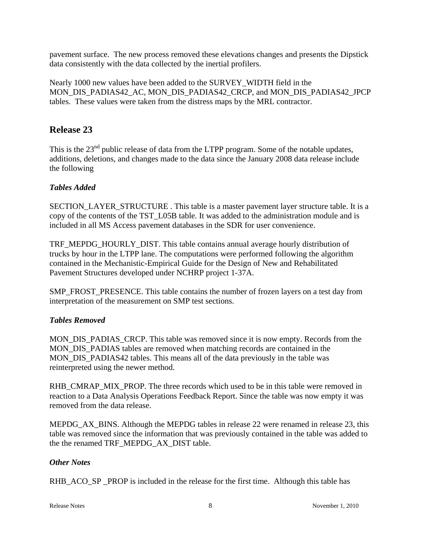pavement surface. The new process removed these elevations changes and presents the Dipstick data consistently with the data collected by the inertial profilers.

Nearly 1000 new values have been added to the SURVEY\_WIDTH field in the MON\_DIS\_PADIAS42\_AC, MON\_DIS\_PADIAS42\_CRCP, and MON\_DIS\_PADIAS42\_JPCP tables. These values were taken from the distress maps by the MRL contractor.

# **Release 23**

This is the 23<sup>nd</sup> public release of data from the LTPP program. Some of the notable updates, additions, deletions, and changes made to the data since the January 2008 data release include the following

# *Tables Added*

SECTION\_LAYER\_STRUCTURE . This table is a master pavement layer structure table. It is a copy of the contents of the TST\_L05B table. It was added to the administration module and is included in all MS Access pavement databases in the SDR for user convenience.

TRF\_MEPDG\_HOURLY\_DIST. This table contains annual average hourly distribution of trucks by hour in the LTPP lane. The computations were performed following the algorithm contained in the Mechanistic-Empirical Guide for the Design of New and Rehabilitated Pavement Structures developed under NCHRP project 1-37A.

SMP\_FROST\_PRESENCE. This table contains the number of frozen layers on a test day from interpretation of the measurement on SMP test sections.

# *Tables Removed*

MON\_DIS\_PADIAS\_CRCP. This table was removed since it is now empty. Records from the MON DIS PADIAS tables are removed when matching records are contained in the MON\_DIS\_PADIAS42 tables. This means all of the data previously in the table was reinterpreted using the newer method.

RHB\_CMRAP\_MIX\_PROP. The three records which used to be in this table were removed in reaction to a Data Analysis Operations Feedback Report. Since the table was now empty it was removed from the data release.

MEPDG AX BINS. Although the MEPDG tables in release 22 were renamed in release 23, this table was removed since the information that was previously contained in the table was added to the the renamed TRF\_MEPDG\_AX\_DIST table.

# *Other Notes*

RHB\_ACO\_SP \_PROP is included in the release for the first time. Although this table has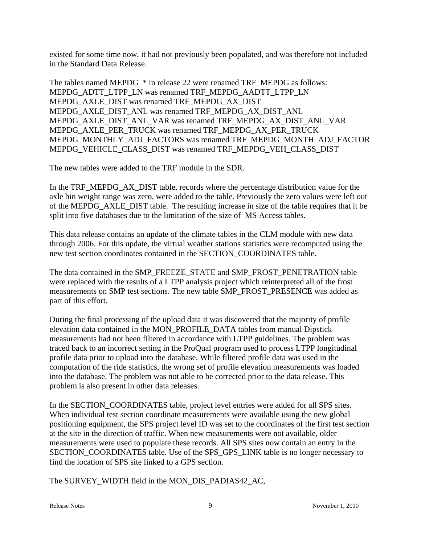existed for some time now, it had not previously been populated, and was therefore not included in the Standard Data Release.

The tables named MEPDG  $*$  in release 22 were renamed TRF\_MEPDG as follows: MEPDG\_ADTT\_LTPP\_LN was renamed TRF\_MEPDG\_AADTT\_LTPP\_LN MEPDG\_AXLE\_DIST was renamed TRF\_MEPDG\_AX\_DIST MEPDG\_AXLE\_DIST\_ANL was renamed TRF\_MEPDG\_AX\_DIST\_ANL MEPDG\_AXLE\_DIST\_ANL\_VAR was renamed TRF\_MEPDG\_AX\_DIST\_ANL\_VAR MEPDG\_AXLE\_PER\_TRUCK was renamed TRF\_MEPDG\_AX\_PER\_TRUCK MEPDG\_MONTHLY\_ADJ\_FACTORS was renamed TRF\_MEPDG\_MONTH\_ADJ\_FACTOR MEPDG\_VEHICLE\_CLASS\_DIST was renamed TRF\_MEPDG\_VEH\_CLASS\_DIST

The new tables were added to the TRF module in the SDR.

In the TRF\_MEPDG\_AX\_DIST table, records where the percentage distribution value for the axle bin weight range was zero, were added to the table. Previously the zero values were left out of the MEPDG\_AXLE\_DIST table. The resulting increase in size of the table requires that it be split into five databases due to the limitation of the size of MS Access tables.

This data release contains an update of the climate tables in the CLM module with new data through 2006. For this update, the virtual weather stations statistics were recomputed using the new test section coordinates contained in the SECTION\_COORDINATES table.

The data contained in the SMP\_FREEZE\_STATE and SMP\_FROST\_PENETRATION table were replaced with the results of a LTPP analysis project which reinterpreted all of the frost measurements on SMP test sections. The new table SMP\_FROST\_PRESENCE was added as part of this effort.

During the final processing of the upload data it was discovered that the majority of profile elevation data contained in the MON\_PROFILE\_DATA tables from manual Dipstick measurements had not been filtered in accordance with LTPP guidelines. The problem was traced back to an incorrect setting in the ProQual program used to process LTPP longitudinal profile data prior to upload into the database. While filtered profile data was used in the computation of the ride statistics, the wrong set of profile elevation measurements was loaded into the database. The problem was not able to be corrected prior to the data release. This problem is also present in other data releases.

In the SECTION\_COORDINATES table, project level entries were added for all SPS sites. When individual test section coordinate measurements were available using the new global positioning equipment, the SPS project level ID was set to the coordinates of the first test section at the site in the direction of traffic. When new measurements were not available, older measurements were used to populate these records. All SPS sites now contain an entry in the SECTION\_COORDINATES table. Use of the SPS\_GPS\_LINK table is no longer necessary to find the location of SPS site linked to a GPS section.

The SURVEY\_WIDTH field in the MON\_DIS\_PADIAS42\_AC,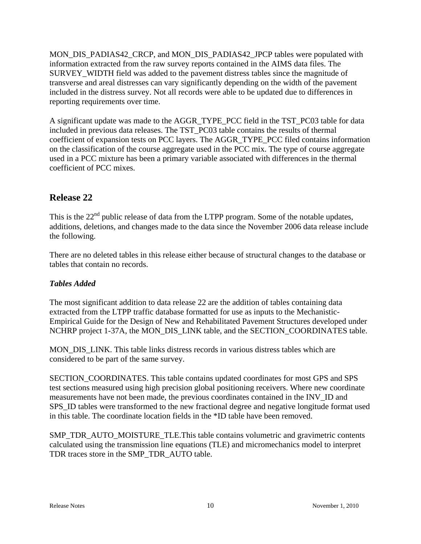MON\_DIS\_PADIAS42\_CRCP, and MON\_DIS\_PADIAS42\_JPCP tables were populated with information extracted from the raw survey reports contained in the AIMS data files. The SURVEY\_WIDTH field was added to the pavement distress tables since the magnitude of transverse and areal distresses can vary significantly depending on the width of the pavement included in the distress survey. Not all records were able to be updated due to differences in reporting requirements over time.

A significant update was made to the AGGR\_TYPE\_PCC field in the TST\_PC03 table for data included in previous data releases. The TST\_PC03 table contains the results of thermal coefficient of expansion tests on PCC layers. The AGGR\_TYPE\_PCC filed contains information on the classification of the course aggregate used in the PCC mix. The type of course aggregate used in a PCC mixture has been a primary variable associated with differences in the thermal coefficient of PCC mixes.

# **Release 22**

This is the  $22<sup>nd</sup>$  public release of data from the LTPP program. Some of the notable updates, additions, deletions, and changes made to the data since the November 2006 data release include the following.

There are no deleted tables in this release either because of structural changes to the database or tables that contain no records.

# *Tables Added*

The most significant addition to data release 22 are the addition of tables containing data extracted from the LTPP traffic database formatted for use as inputs to the Mechanistic-Empirical Guide for the Design of New and Rehabilitated Pavement Structures developed under NCHRP project 1-37A, the MON\_DIS\_LINK table, and the SECTION\_COORDINATES table.

MON DIS LINK. This table links distress records in various distress tables which are considered to be part of the same survey.

SECTION\_COORDINATES. This table contains updated coordinates for most GPS and SPS test sections measured using high precision global positioning receivers. Where new coordinate measurements have not been made, the previous coordinates contained in the INV\_ID and SPS\_ID tables were transformed to the new fractional degree and negative longitude format used in this table. The coordinate location fields in the \*ID table have been removed.

SMP\_TDR\_AUTO\_MOISTURE\_TLE.This table contains volumetric and gravimetric contents calculated using the transmission line equations (TLE) and micromechanics model to interpret TDR traces store in the SMP\_TDR\_AUTO table.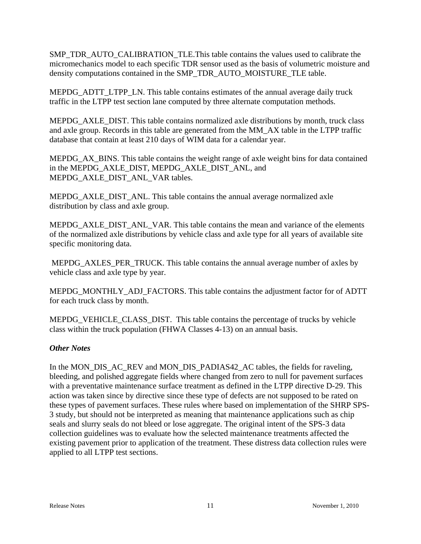SMP\_TDR\_AUTO\_CALIBRATION\_TLE.This table contains the values used to calibrate the micromechanics model to each specific TDR sensor used as the basis of volumetric moisture and density computations contained in the SMP\_TDR\_AUTO\_MOISTURE\_TLE table.

MEPDG\_ADTT\_LTPP\_LN. This table contains estimates of the annual average daily truck traffic in the LTPP test section lane computed by three alternate computation methods.

MEPDG\_AXLE\_DIST. This table contains normalized axle distributions by month, truck class and axle group. Records in this table are generated from the MM\_AX table in the LTPP traffic database that contain at least 210 days of WIM data for a calendar year.

MEPDG\_AX\_BINS. This table contains the weight range of axle weight bins for data contained in the MEPDG\_AXLE\_DIST, MEPDG\_AXLE\_DIST\_ANL, and MEPDG\_AXLE\_DIST\_ANL\_VAR tables.

MEPDG\_AXLE\_DIST\_ANL. This table contains the annual average normalized axle distribution by class and axle group.

MEPDG\_AXLE\_DIST\_ANL\_VAR. This table contains the mean and variance of the elements of the normalized axle distributions by vehicle class and axle type for all years of available site specific monitoring data.

 MEPDG\_AXLES\_PER\_TRUCK. This table contains the annual average number of axles by vehicle class and axle type by year.

MEPDG\_MONTHLY\_ADJ\_FACTORS. This table contains the adjustment factor for of ADTT for each truck class by month.

MEPDG\_VEHICLE\_CLASS\_DIST. This table contains the percentage of trucks by vehicle class within the truck population (FHWA Classes 4-13) on an annual basis.

# *Other Notes*

In the MON\_DIS\_AC\_REV and MON\_DIS\_PADIAS42\_AC tables, the fields for raveling, bleeding, and polished aggregate fields where changed from zero to null for pavement surfaces with a preventative maintenance surface treatment as defined in the LTPP directive D-29. This action was taken since by directive since these type of defects are not supposed to be rated on these types of pavement surfaces. These rules where based on implementation of the SHRP SPS-3 study, but should not be interpreted as meaning that maintenance applications such as chip seals and slurry seals do not bleed or lose aggregate. The original intent of the SPS-3 data collection guidelines was to evaluate how the selected maintenance treatments affected the existing pavement prior to application of the treatment. These distress data collection rules were applied to all LTPP test sections.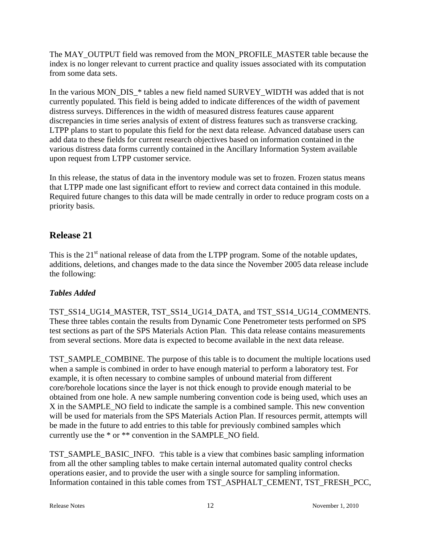The MAY\_OUTPUT field was removed from the MON\_PROFILE\_MASTER table because the index is no longer relevant to current practice and quality issues associated with its computation from some data sets.

In the various MON\_DIS\_\* tables a new field named SURVEY\_WIDTH was added that is not currently populated. This field is being added to indicate differences of the width of pavement distress surveys. Differences in the width of measured distress features cause apparent discrepancies in time series analysis of extent of distress features such as transverse cracking. LTPP plans to start to populate this field for the next data release. Advanced database users can add data to these fields for current research objectives based on information contained in the various distress data forms currently contained in the Ancillary Information System available upon request from LTPP customer service.

In this release, the status of data in the inventory module was set to frozen. Frozen status means that LTPP made one last significant effort to review and correct data contained in this module. Required future changes to this data will be made centrally in order to reduce program costs on a priority basis.

# **Release 21**

This is the  $21<sup>st</sup>$  national release of data from the LTPP program. Some of the notable updates, additions, deletions, and changes made to the data since the November 2005 data release include the following:

# *Tables Added*

TST\_SS14\_UG14\_MASTER, TST\_SS14\_UG14\_DATA, and TST\_SS14\_UG14\_COMMENTS. These three tables contain the results from Dynamic Cone Penetrometer tests performed on SPS test sections as part of the SPS Materials Action Plan. This data release contains measurements from several sections. More data is expected to become available in the next data release.

TST\_SAMPLE\_COMBINE. The purpose of this table is to document the multiple locations used when a sample is combined in order to have enough material to perform a laboratory test. For example, it is often necessary to combine samples of unbound material from different core/borehole locations since the layer is not thick enough to provide enough material to be obtained from one hole. A new sample numbering convention code is being used, which uses an X in the SAMPLE\_NO field to indicate the sample is a combined sample. This new convention will be used for materials from the SPS Materials Action Plan. If resources permit, attempts will be made in the future to add entries to this table for previously combined samples which currently use the \* or \*\* convention in the SAMPLE\_NO field.

TST\_SAMPLE\_BASIC\_INFO. This table is a view that combines basic sampling information from all the other sampling tables to make certain internal automated quality control checks operations easier, and to provide the user with a single source for sampling information. Information contained in this table comes from TST\_ASPHALT\_CEMENT, TST\_FRESH\_PCC,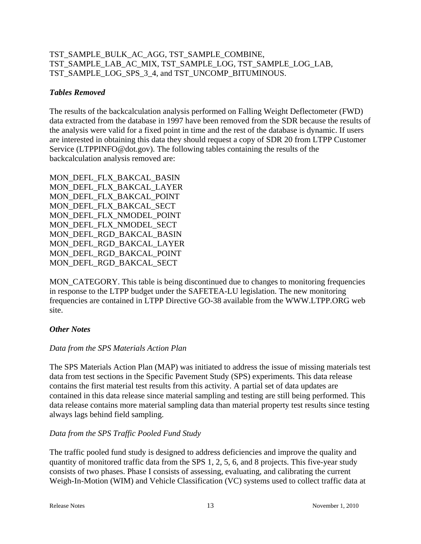# TST\_SAMPLE\_BULK\_AC\_AGG, TST\_SAMPLE\_COMBINE, TST\_SAMPLE\_LAB\_AC\_MIX, TST\_SAMPLE\_LOG, TST\_SAMPLE\_LOG\_LAB, TST\_SAMPLE\_LOG\_SPS\_3\_4, and TST\_UNCOMP\_BITUMINOUS.

### *Tables Removed*

The results of the backcalculation analysis performed on Falling Weight Deflectometer (FWD) data extracted from the database in 1997 have been removed from the SDR because the results of the analysis were valid for a fixed point in time and the rest of the database is dynamic. If users are interested in obtaining this data they should request a copy of SDR 20 from LTPP Customer Service (LTPPINFO@dot.gov). The following tables containing the results of the backcalculation analysis removed are:

MON\_DEFL\_FLX\_BAKCAL\_BASIN MON\_DEFL\_FLX\_BAKCAL\_LAYER MON\_DEFL\_FLX\_BAKCAL\_POINT MON DEFL\_FLX\_BAKCAL\_SECT MON\_DEFL\_FLX\_NMODEL\_POINT MON DEFL\_FLX\_NMODEL\_SECT MON\_DEFL\_RGD\_BAKCAL\_BASIN MON\_DEFL\_RGD\_BAKCAL\_LAYER MON\_DEFL\_RGD\_BAKCAL\_POINT MON\_DEFL\_RGD\_BAKCAL\_SECT

MON\_CATEGORY. This table is being discontinued due to changes to monitoring frequencies in response to the LTPP budget under the SAFETEA-LU legislation. The new monitoring frequencies are contained in LTPP Directive GO-38 available from the WWW.LTPP.ORG web site.

#### *Other Notes*

#### *Data from the SPS Materials Action Plan*

The SPS Materials Action Plan (MAP) was initiated to address the issue of missing materials test data from test sections in the Specific Pavement Study (SPS) experiments. This data release contains the first material test results from this activity. A partial set of data updates are contained in this data release since material sampling and testing are still being performed. This data release contains more material sampling data than material property test results since testing always lags behind field sampling.

#### *Data from the SPS Traffic Pooled Fund Study*

The traffic pooled fund study is designed to address deficiencies and improve the quality and quantity of monitored traffic data from the SPS 1, 2, 5, 6, and 8 projects. This five-year study consists of two phases. Phase I consists of assessing, evaluating, and calibrating the current Weigh-In-Motion (WIM) and Vehicle Classification (VC) systems used to collect traffic data at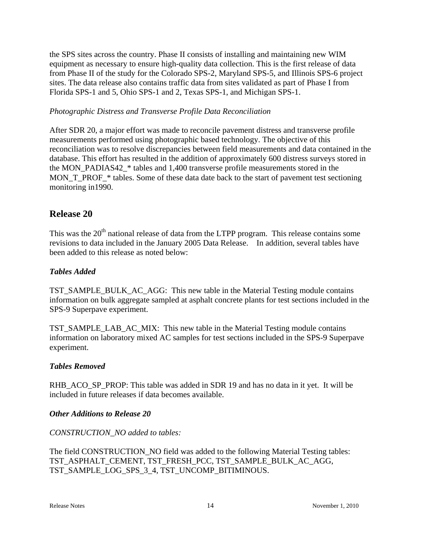the SPS sites across the country. Phase II consists of installing and maintaining new WIM equipment as necessary to ensure high-quality data collection. This is the first release of data from Phase II of the study for the Colorado SPS-2, Maryland SPS-5, and Illinois SPS-6 project sites. The data release also contains traffic data from sites validated as part of Phase I from Florida SPS-1 and 5, Ohio SPS-1 and 2, Texas SPS-1, and Michigan SPS-1.

#### *Photographic Distress and Transverse Profile Data Reconciliation*

After SDR 20, a major effort was made to reconcile pavement distress and transverse profile measurements performed using photographic based technology. The objective of this reconciliation was to resolve discrepancies between field measurements and data contained in the database. This effort has resulted in the addition of approximately 600 distress surveys stored in the MON\_PADIAS42\_\* tables and 1,400 transverse profile measurements stored in the MON\_T\_PROF\_\* tables. Some of these data date back to the start of pavement test sectioning monitoring in1990.

# **Release 20**

This was the 20<sup>th</sup> national release of data from the LTPP program. This release contains some revisions to data included in the January 2005 Data Release. In addition, several tables have been added to this release as noted below:

#### *Tables Added*

TST\_SAMPLE\_BULK\_AC\_AGG: This new table in the Material Testing module contains information on bulk aggregate sampled at asphalt concrete plants for test sections included in the SPS-9 Superpave experiment.

TST\_SAMPLE\_LAB\_AC\_MIX: This new table in the Material Testing module contains information on laboratory mixed AC samples for test sections included in the SPS-9 Superpave experiment.

#### *Tables Removed*

RHB\_ACO\_SP\_PROP: This table was added in SDR 19 and has no data in it yet. It will be included in future releases if data becomes available.

#### *Other Additions to Release 20*

#### *CONSTRUCTION\_NO added to tables:*

The field CONSTRUCTION\_NO field was added to the following Material Testing tables: TST\_ASPHALT\_CEMENT, TST\_FRESH\_PCC, TST\_SAMPLE\_BULK\_AC\_AGG, TST\_SAMPLE\_LOG\_SPS\_3\_4, TST\_UNCOMP\_BITIMINOUS.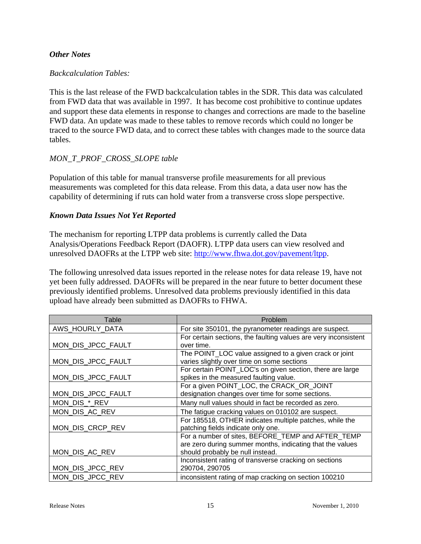#### *Other Notes*

#### *Backcalculation Tables:*

This is the last release of the FWD backcalculation tables in the SDR. This data was calculated from FWD data that was available in 1997. It has become cost prohibitive to continue updates and support these data elements in response to changes and corrections are made to the baseline FWD data. An update was made to these tables to remove records which could no longer be traced to the source FWD data, and to correct these tables with changes made to the source data tables.

#### *MON\_T\_PROF\_CROSS\_SLOPE table*

Population of this table for manual transverse profile measurements for all previous measurements was completed for this data release. From this data, a data user now has the capability of determining if ruts can hold water from a transverse cross slope perspective.

#### *Known Data Issues Not Yet Reported*

The mechanism for reporting LTPP data problems is currently called the Data Analysis/Operations Feedback Report (DAOFR). LTPP data users can view resolved and unresolved DAOFRs at the LTPP web site: http://www.fhwa.dot.gov/pavement/ltpp.

The following unresolved data issues reported in the release notes for data release 19, have not yet been fully addressed. DAOFRs will be prepared in the near future to better document these previously identified problems. Unresolved data problems previously identified in this data upload have already been submitted as DAOFRs to FHWA.

| Table              | Problem                                                         |
|--------------------|-----------------------------------------------------------------|
| AWS_HOURLY_DATA    | For site 350101, the pyranometer readings are suspect.          |
|                    | For certain sections, the faulting values are very inconsistent |
| MON_DIS_JPCC_FAULT | over time.                                                      |
|                    | The POINT_LOC value assigned to a given crack or joint          |
| MON_DIS_JPCC_FAULT | varies slightly over time on some sections                      |
|                    | For certain POINT_LOC's on given section, there are large       |
| MON_DIS_JPCC_FAULT | spikes in the measured faulting value.                          |
|                    | For a given POINT_LOC, the CRACK_OR_JOINT                       |
| MON_DIS_JPCC_FAULT | designation changes over time for some sections.                |
| MON_DIS_*_REV      | Many null values should in fact be recorded as zero.            |
| MON_DIS_AC_REV     | The fatigue cracking values on 010102 are suspect.              |
|                    | For 185518, OTHER indicates multiple patches, while the         |
| MON_DIS_CRCP_REV   | patching fields indicate only one.                              |
|                    | For a number of sites, BEFORE TEMP and AFTER TEMP               |
|                    | are zero during summer months, indicating that the values       |
| MON_DIS_AC_REV     | should probably be null instead.                                |
|                    | Inconsistent rating of transverse cracking on sections          |
| MON_DIS_JPCC_REV   | 290704, 290705                                                  |
| MON_DIS_JPCC_REV   | inconsistent rating of map cracking on section 100210           |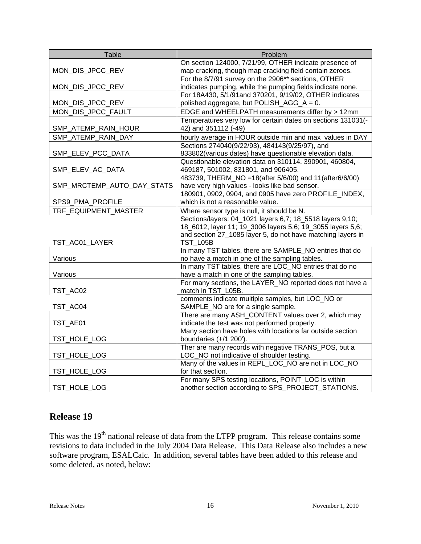| <b>Table</b>               | Problem                                                                 |
|----------------------------|-------------------------------------------------------------------------|
|                            | On section 124000, 7/21/99, OTHER indicate presence of                  |
| MON_DIS_JPCC_REV           | map cracking, though map cracking field contain zeroes.                 |
|                            | For the 8/7/91 survey on the 2906** sections, OTHER                     |
| MON_DIS_JPCC_REV           | indicates pumping, while the pumping fields indicate none.              |
|                            | For 18A430, 5/1/91and 370201, 9/19/02, OTHER indicates                  |
| MON_DIS_JPCC_REV           | polished aggregate, but POLISH_AGG_A = 0.                               |
| MON_DIS_JPCC_FAULT         | EDGE and WHEELPATH measurements differ by > 12mm                        |
|                            | Temperatures very low for certain dates on sections 131031(-            |
| SMP_ATEMP_RAIN_HOUR        | 42) and 351112 (-49)                                                    |
| SMP_ATEMP_RAIN_DAY         | hourly average in HOUR outside min and max values in DAY                |
|                            | Sections 274040(9/22/93), 484143(9/25/97), and                          |
| SMP_ELEV_PCC_DATA          | 833802(various dates) have questionable elevation data.                 |
|                            | Questionable elevation data on 310114, 390901, 460804,                  |
| SMP_ELEV_AC_DATA           | 469187, 501002, 831801, and 906405.                                     |
|                            | 483739, THERM_NO = 18(after 5/6/00) and 11(after6/6/00)                 |
| SMP_MRCTEMP_AUTO_DAY_STATS | have very high values - looks like bad sensor.                          |
|                            | 180901, 0902, 0904, and 0905 have zero PROFILE_INDEX,                   |
| SPS9_PMA_PROFILE           | which is not a reasonable value.                                        |
| TRF EQUIPMENT MASTER       | Where sensor type is null, it should be N.                              |
|                            | Sections/layers: 04_1021 layers 6,7; 18_5518 layers 9,10;               |
|                            | 18_6012, layer 11; 19_3006 layers 5,6; 19_3055 layers 5,6;              |
|                            | and section 27_1085 layer 5, do not have matching layers in             |
| TST_AC01_LAYER             | TST_L05B                                                                |
|                            | In many TST tables, there are SAMPLE_NO entries that do                 |
| Various                    | no have a match in one of the sampling tables.                          |
|                            | In many TST tables, there are LOC_NO entries that do no                 |
| Various                    | have a match in one of the sampling tables.                             |
|                            | For many sections, the LAYER_NO reported does not have a                |
| TST_AC02                   | match in TST_L05B.<br>comments indicate multiple samples, but LOC_NO or |
| TST_AC04                   | SAMPLE_NO are for a single sample.                                      |
|                            | There are many ASH CONTENT values over 2, which may                     |
| TST_AE01                   | indicate the test was not performed properly.                           |
|                            | Many section have holes with locations far outside section              |
| TST_HOLE_LOG               | boundaries (+/1 200').                                                  |
|                            | Ther are many records with negative TRANS_POS, but a                    |
| TST_HOLE_LOG               | LOC_NO not indicative of shoulder testing.                              |
|                            | Many of the values in REPL_LOC_NO are not in LOC_NO                     |
| TST_HOLE_LOG               | for that section.                                                       |
|                            | For many SPS testing locations, POINT_LOC is within                     |
| TST_HOLE_LOG               | another section according to SPS_PROJECT_STATIONS.                      |

# **Release 19**

This was the  $19<sup>th</sup>$  national release of data from the LTPP program. This release contains some revisions to data included in the July 2004 Data Release. This Data Release also includes a new software program, ESALCalc. In addition, several tables have been added to this release and some deleted, as noted, below: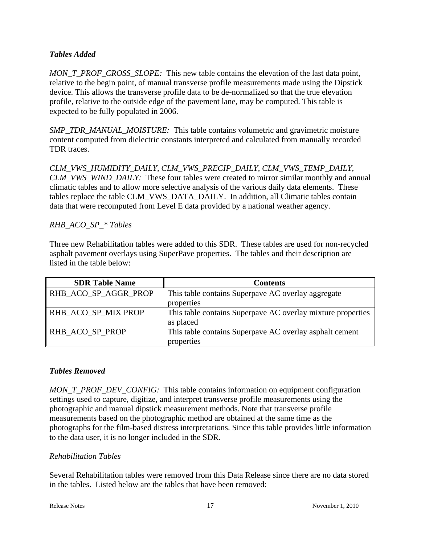# *Tables Added*

*MON\_T\_PROF\_CROSS\_SLOPE:* This new table contains the elevation of the last data point, relative to the begin point, of manual transverse profile measurements made using the Dipstick device. This allows the transverse profile data to be de-normalized so that the true elevation profile, relative to the outside edge of the pavement lane, may be computed. This table is expected to be fully populated in 2006.

*SMP\_TDR\_MANUAL\_MOISTURE:* This table contains volumetric and gravimetric moisture content computed from dielectric constants interpreted and calculated from manually recorded TDR traces.

*CLM\_VWS\_HUMIDITY\_DAILY, CLM\_VWS\_PRECIP\_DAILY, CLM\_VWS\_TEMP\_DAILY, CLM\_VWS\_WIND\_DAILY:* These four tables were created to mirror similar monthly and annual climatic tables and to allow more selective analysis of the various daily data elements. These tables replace the table CLM\_VWS\_DATA\_DAILY. In addition, all Climatic tables contain data that were recomputed from Level E data provided by a national weather agency.

#### *RHB\_ACO\_SP\_\* Tables*

Three new Rehabilitation tables were added to this SDR. These tables are used for non-recycled asphalt pavement overlays using SuperPave properties. The tables and their description are listed in the table below:

| <b>SDR Table Name</b> | <b>Contents</b>                                             |
|-----------------------|-------------------------------------------------------------|
| RHB_ACO_SP_AGGR_PROP  | This table contains Superpave AC overlay aggregate          |
|                       | properties                                                  |
| RHB_ACO_SP_MIX PROP   | This table contains Superpave AC overlay mixture properties |
|                       | as placed                                                   |
| RHB_ACO_SP_PROP       | This table contains Superpave AC overlay asphalt cement     |
|                       | properties                                                  |

#### *Tables Removed*

*MON\_T\_PROF\_DEV\_CONFIG:* This table contains information on equipment configuration settings used to capture, digitize, and interpret transverse profile measurements using the photographic and manual dipstick measurement methods. Note that transverse profile measurements based on the photographic method are obtained at the same time as the photographs for the film-based distress interpretations. Since this table provides little information to the data user, it is no longer included in the SDR.

#### *Rehabilitation Tables*

Several Rehabilitation tables were removed from this Data Release since there are no data stored in the tables. Listed below are the tables that have been removed: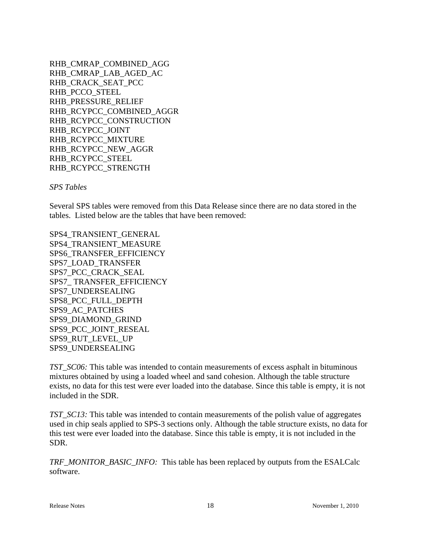RHB\_CMRAP\_COMBINED\_AGG RHB\_CMRAP\_LAB\_AGED\_AC RHB\_CRACK\_SEAT\_PCC RHB\_PCCO\_STEEL RHB\_PRESSURE\_RELIEF RHB\_RCYPCC\_COMBINED\_AGGR RHB\_RCYPCC\_CONSTRUCTION RHB\_RCYPCC\_JOINT RHB\_RCYPCC\_MIXTURE RHB\_RCYPCC\_NEW\_AGGR RHB\_RCYPCC\_STEEL RHB\_RCYPCC\_STRENGTH

*SPS Tables*

Several SPS tables were removed from this Data Release since there are no data stored in the tables. Listed below are the tables that have been removed:

SPS4\_TRANSIENT\_GENERAL SPS4\_TRANSIENT\_MEASURE SPS6\_TRANSFER\_EFFICIENCY SPS7\_LOAD\_TRANSFER SPS7\_PCC\_CRACK\_SEAL SPS7\_ TRANSFER\_EFFICIENCY SPS7\_UNDERSEALING SPS8\_PCC\_FULL\_DEPTH SPS9\_AC\_PATCHES SPS9\_DIAMOND\_GRIND SPS9\_PCC\_JOINT\_RESEAL SPS9\_RUT\_LEVEL\_UP SPS9\_UNDERSEALING

*TST\_SC06:* This table was intended to contain measurements of excess asphalt in bituminous mixtures obtained by using a loaded wheel and sand cohesion. Although the table structure exists, no data for this test were ever loaded into the database. Since this table is empty, it is not included in the SDR.

*TST\_SC13:* This table was intended to contain measurements of the polish value of aggregates used in chip seals applied to SPS-3 sections only. Although the table structure exists, no data for this test were ever loaded into the database. Since this table is empty, it is not included in the SDR.

*TRF\_MONITOR\_BASIC\_INFO:* This table has been replaced by outputs from the ESALCalc software.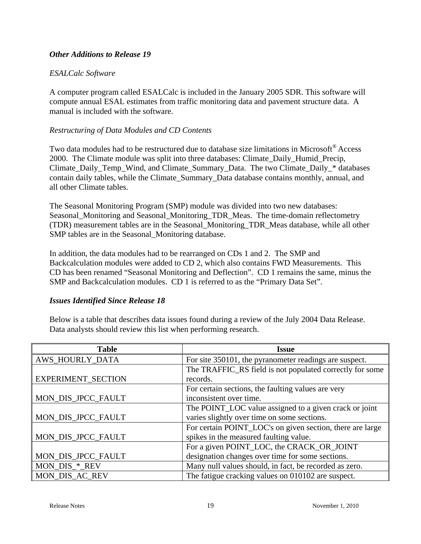### *Other Additions to Release 19*

#### *ESALCalc Software*

A computer program called ESALCalc is included in the January 2005 SDR. This software will compute annual ESAL estimates from traffic monitoring data and pavement structure data. A manual is included with the software.

#### *Restructuring of Data Modules and CD Contents*

Two data modules had to be restructured due to database size limitations in Microsoft® Access 2000. The Climate module was split into three databases: Climate\_Daily\_Humid\_Precip, Climate\_Daily\_Temp\_Wind, and Climate\_Summary\_Data. The two Climate\_Daily\_\* databases contain daily tables, while the Climate\_Summary\_Data database contains monthly, annual, and all other Climate tables.

The Seasonal Monitoring Program (SMP) module was divided into two new databases: Seasonal\_Monitoring and Seasonal\_Monitoring\_TDR\_Meas. The time-domain reflectometry (TDR) measurement tables are in the Seasonal\_Monitoring\_TDR\_Meas database, while all other SMP tables are in the Seasonal\_Monitoring database.

In addition, the data modules had to be rearranged on CDs 1 and 2. The SMP and Backcalculation modules were added to CD 2, which also contains FWD Measurements. This CD has been renamed "Seasonal Monitoring and Deflection". CD 1 remains the same, minus the SMP and Backcalculation modules. CD 1 is referred to as the "Primary Data Set".

#### *Issues Identified Since Release 18*

Below is a table that describes data issues found during a review of the July 2004 Data Release. Data analysts should review this list when performing research.

| <b>Table</b>              | Issue                                                     |
|---------------------------|-----------------------------------------------------------|
| AWS_HOURLY_DATA           | For site 350101, the pyranometer readings are suspect.    |
|                           | The TRAFFIC_RS field is not populated correctly for some  |
| <b>EXPERIMENT_SECTION</b> | records.                                                  |
|                           | For certain sections, the faulting values are very        |
| MON_DIS_JPCC_FAULT        | inconsistent over time.                                   |
|                           | The POINT_LOC value assigned to a given crack or joint    |
| MON_DIS_JPCC_FAULT        | varies slightly over time on some sections.               |
|                           | For certain POINT_LOC's on given section, there are large |
| MON_DIS_JPCC_FAULT        | spikes in the measured faulting value.                    |
|                           | For a given POINT_LOC, the CRACK_OR_JOINT                 |
| MON_DIS_JPCC_FAULT        | designation changes over time for some sections.          |
| MON_DIS_*_REV             | Many null values should, in fact, be recorded as zero.    |
| MON DIS AC REV            | The fatigue cracking values on 010102 are suspect.        |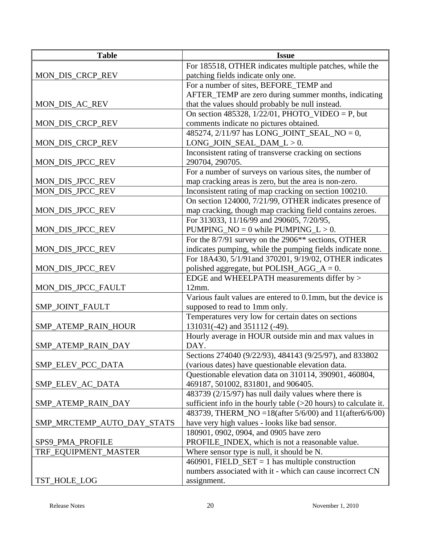| <b>Table</b>               | <b>Issue</b>                                                                                       |
|----------------------------|----------------------------------------------------------------------------------------------------|
|                            | For 185518, OTHER indicates multiple patches, while the                                            |
| MON_DIS_CRCP_REV           | patching fields indicate only one.                                                                 |
|                            | For a number of sites, BEFORE_TEMP and                                                             |
|                            | AFTER_TEMP are zero during summer months, indicating                                               |
| MON_DIS_AC_REV             | that the values should probably be null instead.                                                   |
|                            | On section 485328, $1/22/01$ , PHOTO_VIDEO = P, but                                                |
| MON_DIS_CRCP_REV           | comments indicate no pictures obtained.                                                            |
|                            | 485274, 2/11/97 has LONG_JOINT_SEAL_NO = 0,                                                        |
| MON_DIS_CRCP_REV           | $LONG_JOIN_SEAL_DAM_L > 0.$                                                                        |
|                            | Inconsistent rating of transverse cracking on sections                                             |
| MON_DIS_JPCC_REV           | 290704, 290705.                                                                                    |
|                            | For a number of surveys on various sites, the number of                                            |
| MON_DIS_JPCC_REV           | map cracking areas is zero, but the area is non-zero.                                              |
| MON_DIS_JPCC_REV           | Inconsistent rating of map cracking on section 100210.                                             |
|                            | On section 124000, 7/21/99, OTHER indicates presence of                                            |
| MON_DIS_JPCC_REV           | map cracking, though map cracking field contains zeroes.                                           |
|                            | For 313033, 11/16/99 and 290605, 7/20/95,                                                          |
| MON_DIS_JPCC_REV           | PUMPING_NO = $0$ while PUMPING_L > 0.                                                              |
|                            | For the 8/7/91 survey on the 2906 <sup>**</sup> sections, OTHER                                    |
| MON_DIS_JPCC_REV           | indicates pumping, while the pumping fields indicate none.                                         |
|                            | For 18A430, 5/1/91and 370201, 9/19/02, OTHER indicates                                             |
| MON_DIS_JPCC_REV           | polished aggregate, but POLISH_AGG_A = $0$ .                                                       |
|                            | EDGE and WHEELPATH measurements differ by >                                                        |
| MON_DIS_JPCC_FAULT         | 12mm.                                                                                              |
|                            | Various fault values are entered to 0.1mm, but the device is                                       |
| SMP_JOINT_FAULT            | supposed to read to 1mm only.                                                                      |
|                            | Temperatures very low for certain dates on sections                                                |
| SMP_ATEMP_RAIN_HOUR        | 131031(-42) and 351112 (-49).                                                                      |
|                            | Hourly average in HOUR outside min and max values in                                               |
| SMP_ATEMP_RAIN_DAY         | DAY.                                                                                               |
|                            | Sections 274040 (9/22/93), 484143 (9/25/97), and 833802                                            |
| SMP_ELEV_PCC_DATA          | (various dates) have questionable elevation data.                                                  |
|                            | Questionable elevation data on 310114, 390901, 460804,                                             |
| SMP_ELEV_AC_DATA           | 469187, 501002, 831801, and 906405.<br>$483739$ ( $2/15/97$ ) has null daily values where there is |
|                            | sufficient info in the hourly table $(>20$ hours) to calculate it.                                 |
| SMP_ATEMP_RAIN_DAY         | 483739, THERM_NO = 18(after 5/6/00) and 11(after 6/6/00)                                           |
| SMP_MRCTEMP_AUTO_DAY_STATS | have very high values - looks like bad sensor.                                                     |
|                            | 180901, 0902, 0904, and 0905 have zero                                                             |
| SPS9_PMA_PROFILE           | PROFILE_INDEX, which is not a reasonable value.                                                    |
| TRF_EQUIPMENT_MASTER       | Where sensor type is null, it should be N.                                                         |
|                            | 460901, FIELD_SET = 1 has multiple construction                                                    |
|                            | numbers associated with it - which can cause incorrect CN                                          |
|                            |                                                                                                    |
| TST_HOLE_LOG               | assignment.                                                                                        |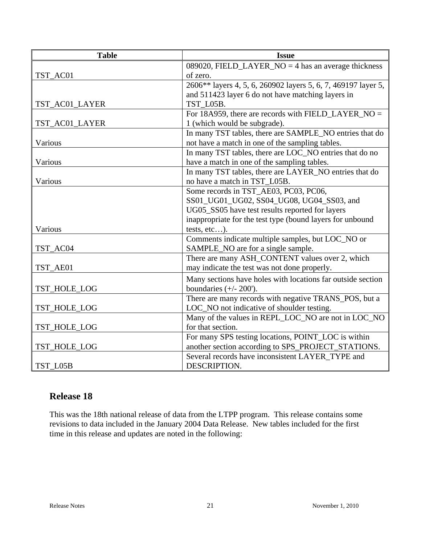| <b>Table</b>   | <b>Issue</b>                                                  |
|----------------|---------------------------------------------------------------|
|                | 089020, FIELD_LAYER_NO = $4$ has an average thickness         |
| TST AC01       | of zero.                                                      |
|                | 2606** layers 4, 5, 6, 260902 layers 5, 6, 7, 469197 layer 5, |
|                | and 511423 layer 6 do not have matching layers in             |
| TST_AC01_LAYER | TST_L05B.                                                     |
|                | For 18A959, there are records with FIELD_LAYER_NO =           |
| TST_AC01_LAYER | 1 (which would be subgrade).                                  |
|                | In many TST tables, there are SAMPLE_NO entries that do       |
| Various        | not have a match in one of the sampling tables.               |
|                | In many TST tables, there are LOC_NO entries that do no       |
| Various        | have a match in one of the sampling tables.                   |
|                | In many TST tables, there are LAYER_NO entries that do        |
| Various        | no have a match in TST_L05B.                                  |
|                | Some records in TST_AE03, PC03, PC06,                         |
|                | SS01_UG01_UG02, SS04_UG08, UG04_SS03, and                     |
|                | UG05_SS05 have test results reported for layers               |
|                | inappropriate for the test type (bound layers for unbound     |
| Various        | tests, $etc$ ).                                               |
|                | Comments indicate multiple samples, but LOC_NO or             |
| TST_AC04       | SAMPLE_NO are for a single sample.                            |
|                | There are many ASH_CONTENT values over 2, which               |
| TST_AE01       | may indicate the test was not done properly.                  |
|                | Many sections have holes with locations far outside section   |
| TST_HOLE_LOG   | boundaries $(+/- 200')$ .                                     |
|                | There are many records with negative TRANS_POS, but a         |
| TST_HOLE_LOG   | LOC_NO not indicative of shoulder testing.                    |
|                | Many of the values in REPL_LOC_NO are not in LOC_NO           |
| TST_HOLE_LOG   | for that section.                                             |
|                | For many SPS testing locations, POINT_LOC is within           |
| TST_HOLE_LOG   | another section according to SPS_PROJECT_STATIONS.            |
|                | Several records have inconsistent LAYER_TYPE and              |
| TST L05B       | DESCRIPTION.                                                  |

# **Release 18**

This was the 18th national release of data from the LTPP program. This release contains some revisions to data included in the January 2004 Data Release. New tables included for the first time in this release and updates are noted in the following: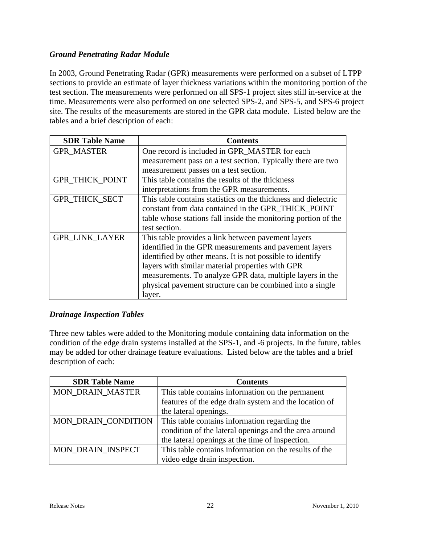# *Ground Penetrating Radar Module*

In 2003, Ground Penetrating Radar (GPR) measurements were performed on a subset of LTPP sections to provide an estimate of layer thickness variations within the monitoring portion of the test section. The measurements were performed on all SPS-1 project sites still in-service at the time. Measurements were also performed on one selected SPS-2, and SPS-5, and SPS-6 project site. The results of the measurements are stored in the GPR data module. Listed below are the tables and a brief description of each:

| <b>SDR Table Name</b>  | <b>Contents</b>                                                |
|------------------------|----------------------------------------------------------------|
| <b>GPR MASTER</b>      | One record is included in GPR_MASTER for each                  |
|                        | measurement pass on a test section. Typically there are two    |
|                        | measurement passes on a test section.                          |
| <b>GPR_THICK_POINT</b> | This table contains the results of the thickness               |
|                        | interpretations from the GPR measurements.                     |
| GPR_THICK_SECT         | This table contains statistics on the thickness and dielectric |
|                        | constant from data contained in the GPR_THICK_POINT            |
|                        | table whose stations fall inside the monitoring portion of the |
|                        | test section.                                                  |
| <b>GPR LINK LAYER</b>  | This table provides a link between pavement layers             |
|                        | identified in the GPR measurements and pavement layers         |
|                        | identified by other means. It is not possible to identify      |
|                        | layers with similar material properties with GPR               |
|                        | measurements. To analyze GPR data, multiple layers in the      |
|                        | physical pavement structure can be combined into a single      |
|                        | layer.                                                         |

# *Drainage Inspection Tables*

Three new tables were added to the Monitoring module containing data information on the condition of the edge drain systems installed at the SPS-1, and -6 projects. In the future, tables may be added for other drainage feature evaluations. Listed below are the tables and a brief description of each:

| <b>SDR Table Name</b>   | <b>Contents</b>                                       |
|-------------------------|-------------------------------------------------------|
| <b>MON DRAIN MASTER</b> | This table contains information on the permanent      |
|                         | features of the edge drain system and the location of |
|                         | the lateral openings.                                 |
| MON_DRAIN_CONDITION     | This table contains information regarding the         |
|                         | condition of the lateral openings and the area around |
|                         | the lateral openings at the time of inspection.       |
| MON DRAIN INSPECT       | This table contains information on the results of the |
|                         | video edge drain inspection.                          |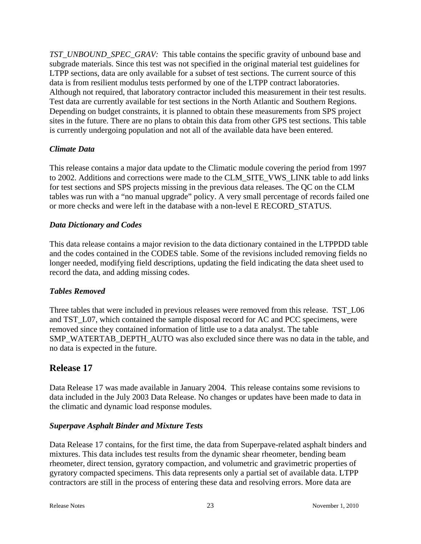*TST\_UNBOUND\_SPEC\_GRAV:* This table contains the specific gravity of unbound base and subgrade materials. Since this test was not specified in the original material test guidelines for LTPP sections, data are only available for a subset of test sections. The current source of this data is from resilient modulus tests performed by one of the LTPP contract laboratories. Although not required, that laboratory contractor included this measurement in their test results. Test data are currently available for test sections in the North Atlantic and Southern Regions. Depending on budget constraints, it is planned to obtain these measurements from SPS project sites in the future. There are no plans to obtain this data from other GPS test sections. This table is currently undergoing population and not all of the available data have been entered.

#### *Climate Data*

This release contains a major data update to the Climatic module covering the period from 1997 to 2002. Additions and corrections were made to the CLM\_SITE\_VWS\_LINK table to add links for test sections and SPS projects missing in the previous data releases. The QC on the CLM tables was run with a "no manual upgrade" policy. A very small percentage of records failed one or more checks and were left in the database with a non-level E RECORD\_STATUS.

#### *Data Dictionary and Codes*

This data release contains a major revision to the data dictionary contained in the LTPPDD table and the codes contained in the CODES table. Some of the revisions included removing fields no longer needed, modifying field descriptions, updating the field indicating the data sheet used to record the data, and adding missing codes.

#### *Tables Removed*

Three tables that were included in previous releases were removed from this release. TST L06 and TST\_L07, which contained the sample disposal record for AC and PCC specimens, were removed since they contained information of little use to a data analyst. The table SMP\_WATERTAB\_DEPTH\_AUTO was also excluded since there was no data in the table, and no data is expected in the future.

# **Release 17**

Data Release 17 was made available in January 2004. This release contains some revisions to data included in the July 2003 Data Release. No changes or updates have been made to data in the climatic and dynamic load response modules.

#### *Superpave Asphalt Binder and Mixture Tests*

Data Release 17 contains, for the first time, the data from Superpave-related asphalt binders and mixtures. This data includes test results from the dynamic shear rheometer, bending beam rheometer, direct tension, gyratory compaction, and volumetric and gravimetric properties of gyratory compacted specimens. This data represents only a partial set of available data. LTPP contractors are still in the process of entering these data and resolving errors. More data are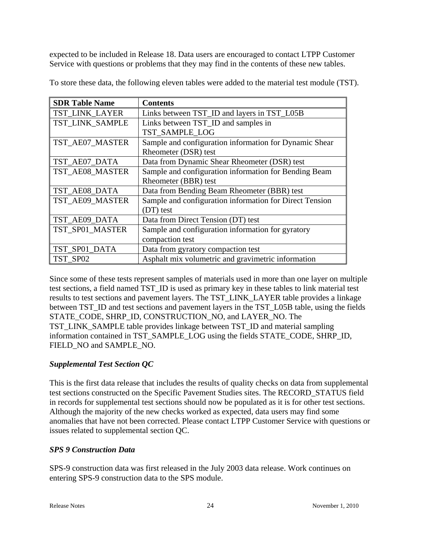expected to be included in Release 18. Data users are encouraged to contact LTPP Customer Service with questions or problems that they may find in the contents of these new tables.

| <b>SDR Table Name</b> | <b>Contents</b>                                         |
|-----------------------|---------------------------------------------------------|
| TST_LINK_LAYER        | Links between TST_ID and layers in TST_L05B             |
| TST LINK SAMPLE       | Links between TST_ID and samples in                     |
|                       | TST SAMPLE LOG                                          |
| TST_AE07_MASTER       | Sample and configuration information for Dynamic Shear  |
|                       | Rheometer (DSR) test                                    |
| TST_AE07_DATA         | Data from Dynamic Shear Rheometer (DSR) test            |
| TST_AE08_MASTER       | Sample and configuration information for Bending Beam   |
|                       | Rheometer (BBR) test                                    |
| TST_AE08_DATA         | Data from Bending Beam Rheometer (BBR) test             |
| TST_AE09_MASTER       | Sample and configuration information for Direct Tension |
|                       | (DT) test                                               |
| TST_AE09_DATA         | Data from Direct Tension (DT) test                      |
| TST_SP01_MASTER       | Sample and configuration information for gyratory       |
|                       | compaction test                                         |
| TST_SP01_DATA         | Data from gyratory compaction test                      |
| TST SP02              | Asphalt mix volumetric and gravimetric information      |

To store these data, the following eleven tables were added to the material test module (TST).

Since some of these tests represent samples of materials used in more than one layer on multiple test sections, a field named TST\_ID is used as primary key in these tables to link material test results to test sections and pavement layers. The TST\_LINK\_LAYER table provides a linkage between TST\_ID and test sections and pavement layers in the TST\_L05B table, using the fields STATE\_CODE, SHRP\_ID, CONSTRUCTION\_NO, and LAYER\_NO. The TST\_LINK\_SAMPLE table provides linkage between TST\_ID and material sampling information contained in TST\_SAMPLE\_LOG using the fields STATE\_CODE, SHRP\_ID, FIELD\_NO and SAMPLE\_NO.

# *Supplemental Test Section QC*

This is the first data release that includes the results of quality checks on data from supplemental test sections constructed on the Specific Pavement Studies sites. The RECORD\_STATUS field in records for supplemental test sections should now be populated as it is for other test sections. Although the majority of the new checks worked as expected, data users may find some anomalies that have not been corrected. Please contact LTPP Customer Service with questions or issues related to supplemental section QC.

# *SPS 9 Construction Data*

SPS-9 construction data was first released in the July 2003 data release. Work continues on entering SPS-9 construction data to the SPS module.